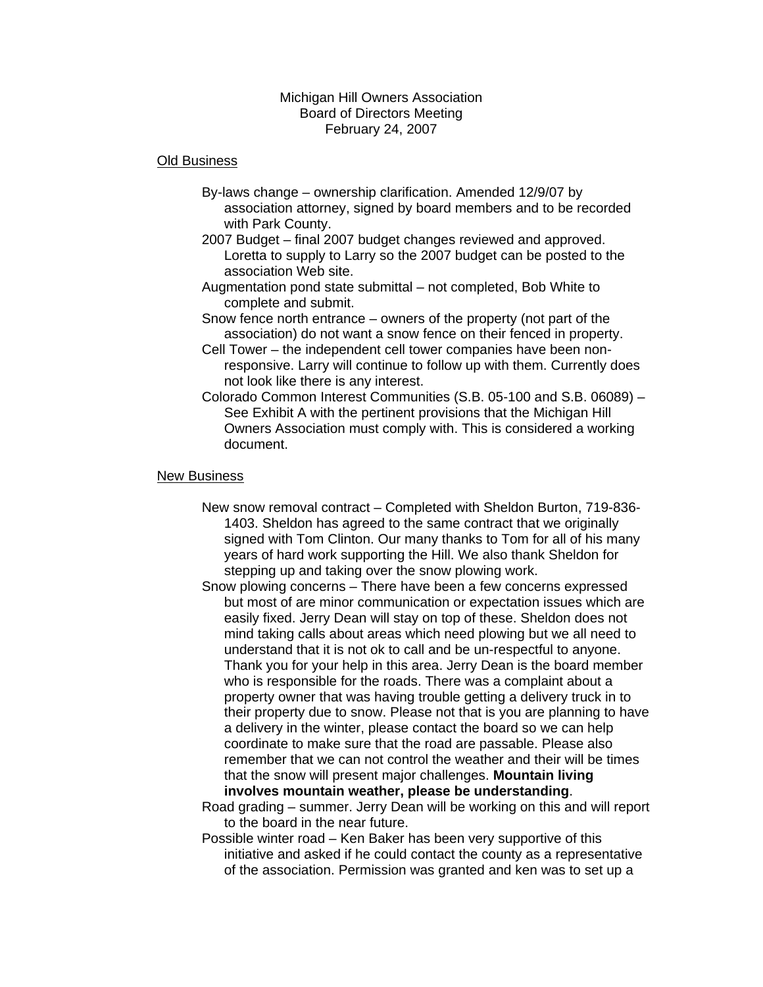#### Michigan Hill Owners Association Board of Directors Meeting February 24, 2007

#### Old Business

- By-laws change ownership clarification. Amended 12/9/07 by association attorney, signed by board members and to be recorded with Park County.
- 2007 Budget final 2007 budget changes reviewed and approved. Loretta to supply to Larry so the 2007 budget can be posted to the association Web site.
- Augmentation pond state submittal not completed, Bob White to complete and submit.
- Snow fence north entrance owners of the property (not part of the association) do not want a snow fence on their fenced in property.
- Cell Tower the independent cell tower companies have been nonresponsive. Larry will continue to follow up with them. Currently does not look like there is any interest.
- Colorado Common Interest Communities (S.B. 05-100 and S.B. 06089) See Exhibit A with the pertinent provisions that the Michigan Hill Owners Association must comply with. This is considered a working document.

#### New Business

- New snow removal contract Completed with Sheldon Burton, 719-836- 1403. Sheldon has agreed to the same contract that we originally signed with Tom Clinton. Our many thanks to Tom for all of his many years of hard work supporting the Hill. We also thank Sheldon for stepping up and taking over the snow plowing work.
- Snow plowing concerns There have been a few concerns expressed but most of are minor communication or expectation issues which are easily fixed. Jerry Dean will stay on top of these. Sheldon does not mind taking calls about areas which need plowing but we all need to understand that it is not ok to call and be un-respectful to anyone. Thank you for your help in this area. Jerry Dean is the board member who is responsible for the roads. There was a complaint about a property owner that was having trouble getting a delivery truck in to their property due to snow. Please not that is you are planning to have a delivery in the winter, please contact the board so we can help coordinate to make sure that the road are passable. Please also remember that we can not control the weather and their will be times that the snow will present major challenges. **Mountain living involves mountain weather, please be understanding**.

Road grading – summer. Jerry Dean will be working on this and will report to the board in the near future.

Possible winter road – Ken Baker has been very supportive of this initiative and asked if he could contact the county as a representative of the association. Permission was granted and ken was to set up a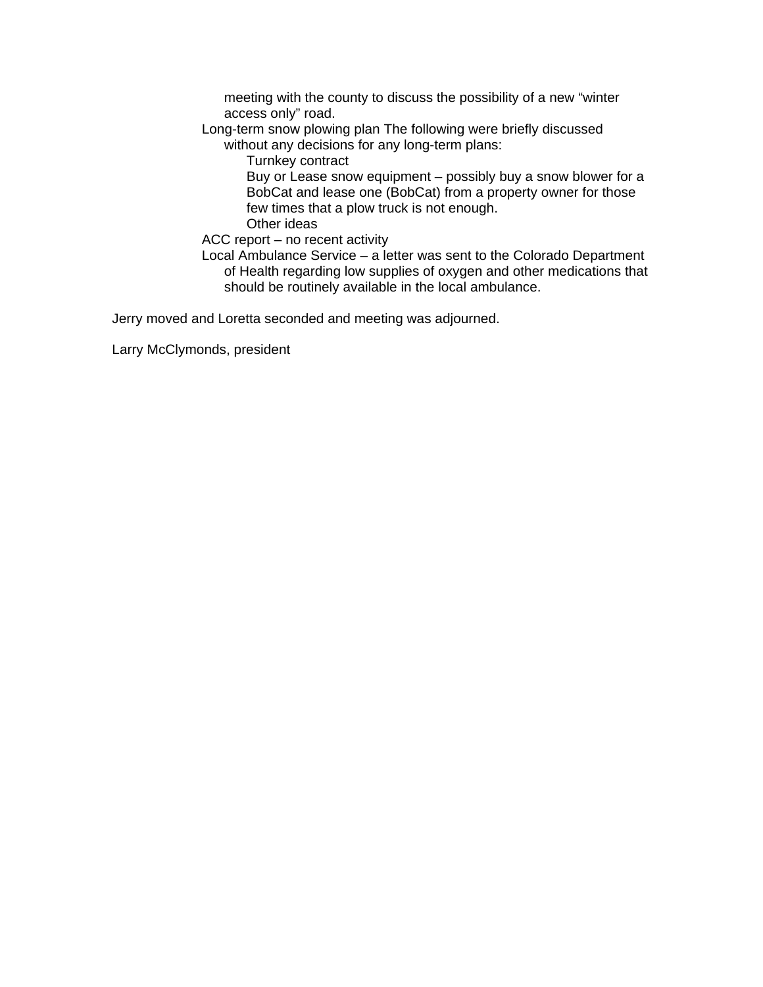meeting with the county to discuss the possibility of a new "winter access only" road.

Long-term snow plowing plan The following were briefly discussed

without any decisions for any long-term plans:

Turnkey contract

Buy or Lease snow equipment – possibly buy a snow blower for a BobCat and lease one (BobCat) from a property owner for those few times that a plow truck is not enough. Other ideas

ACC report – no recent activity

Local Ambulance Service – a letter was sent to the Colorado Department of Health regarding low supplies of oxygen and other medications that should be routinely available in the local ambulance.

Jerry moved and Loretta seconded and meeting was adjourned.

Larry McClymonds, president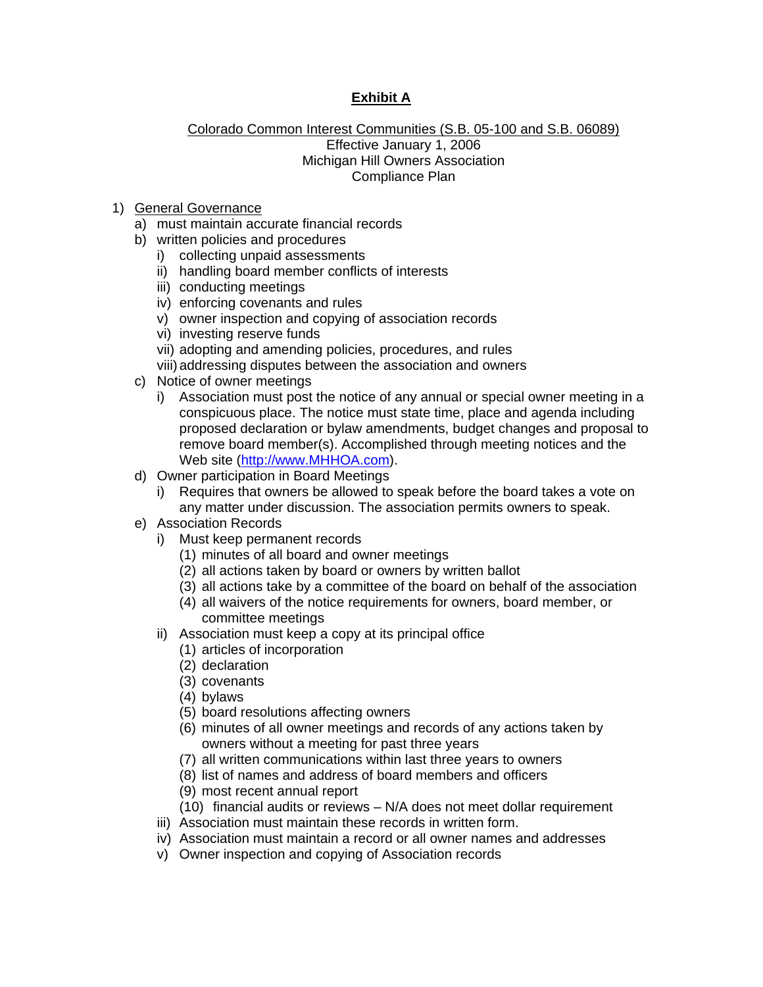# **Exhibit A**

### Colorado Common Interest Communities (S.B. 05-100 and S.B. 06089) Effective January 1, 2006 Michigan Hill Owners Association Compliance Plan

- 1) General Governance
	- a) must maintain accurate financial records
	- b) written policies and procedures
		- i) collecting unpaid assessments
		- ii) handling board member conflicts of interests
		- iii) conducting meetings
		- iv) enforcing covenants and rules
		- v) owner inspection and copying of association records
		- vi) investing reserve funds
		- vii) adopting and amending policies, procedures, and rules
		- viii) addressing disputes between the association and owners
	- c) Notice of owner meetings
		- i) Association must post the notice of any annual or special owner meeting in a conspicuous place. The notice must state time, place and agenda including proposed declaration or bylaw amendments, budget changes and proposal to remove board member(s). Accomplished through meeting notices and the Web site (http://www.MHHOA.com).
	- d) Owner participation in Board Meetings
		- i) Requires that owners be allowed to speak before the board takes a vote on any matter under discussion. The association permits owners to speak.
	- e) Association Records
		- i) Must keep permanent records
			- (1) minutes of all board and owner meetings
			- (2) all actions taken by board or owners by written ballot
			- (3) all actions take by a committee of the board on behalf of the association
			- (4) all waivers of the notice requirements for owners, board member, or committee meetings
		- ii) Association must keep a copy at its principal office
			- (1) articles of incorporation
			- (2) declaration
			- (3) covenants
			- (4) bylaws
			- (5) board resolutions affecting owners
			- (6) minutes of all owner meetings and records of any actions taken by owners without a meeting for past three years
			- (7) all written communications within last three years to owners
			- (8) list of names and address of board members and officers
			- (9) most recent annual report
			- (10) financial audits or reviews N/A does not meet dollar requirement
		- iii) Association must maintain these records in written form.
		- iv) Association must maintain a record or all owner names and addresses
		- v) Owner inspection and copying of Association records